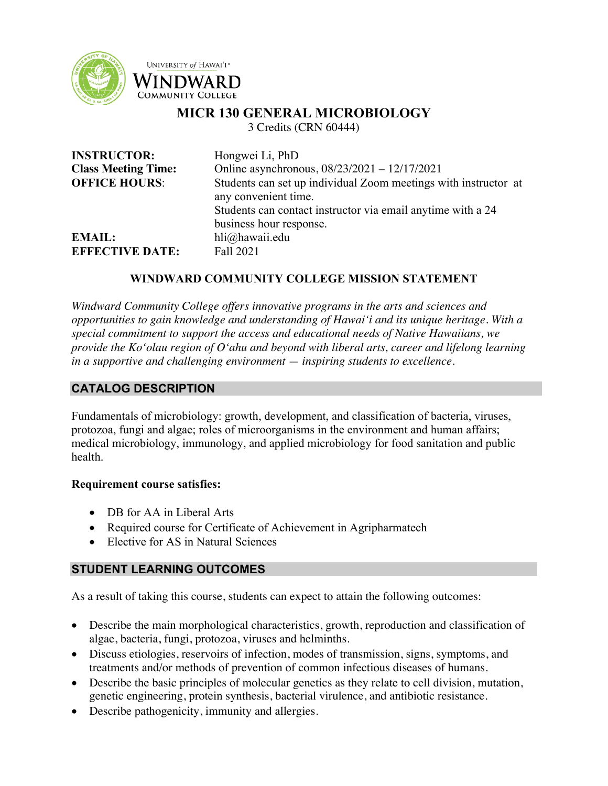

UNIVERSITY of HAWAI'I® WINDWARD

**COMMUNITY COLLEGE** 

# **MICR 130 GENERAL MICROBIOLOGY**

3 Credits (CRN 60444)

| <b>INSTRUCTOR:</b>         | Hongwei Li, PhD                                                                         |
|----------------------------|-----------------------------------------------------------------------------------------|
| <b>Class Meeting Time:</b> | Online asynchronous, $08/23/2021 - 12/17/2021$                                          |
| <b>OFFICE HOURS:</b>       | Students can set up individual Zoom meetings with instructor at<br>any convenient time. |
|                            | Students can contact instructor via email anytime with a 24                             |
|                            | business hour response.                                                                 |
| <b>EMAIL:</b>              | hli@hawaii.edu                                                                          |
| <b>EFFECTIVE DATE:</b>     | Fall 2021                                                                               |

### **WINDWARD COMMUNITY COLLEGE MISSION STATEMENT**

*Windward Community College offers innovative programs in the arts and sciences and opportunities to gain knowledge and understanding of Hawai'i and its unique heritage. With a special commitment to support the access and educational needs of Native Hawaiians, we provide the Ko'olau region of Oʻahu and beyond with liberal arts, career and lifelong learning in a supportive and challenging environment — inspiring students to excellence.*

## **CATALOG DESCRIPTION**

Fundamentals of microbiology: growth, development, and classification of bacteria, viruses, protozoa, fungi and algae; roles of microorganisms in the environment and human affairs; medical microbiology, immunology, and applied microbiology for food sanitation and public health.

### **Requirement course satisfies:**

- DB for AA in Liberal Arts
- Required course for Certificate of Achievement in Agripharmatech
- Elective for AS in Natural Sciences

### **STUDENT LEARNING OUTCOMES**

As a result of taking this course, students can expect to attain the following outcomes:

- Describe the main morphological characteristics, growth, reproduction and classification of algae, bacteria, fungi, protozoa, viruses and helminths.
- Discuss etiologies, reservoirs of infection, modes of transmission, signs, symptoms, and treatments and/or methods of prevention of common infectious diseases of humans.
- Describe the basic principles of molecular genetics as they relate to cell division, mutation, genetic engineering, protein synthesis, bacterial virulence, and antibiotic resistance.
- Describe pathogenicity, immunity and allergies.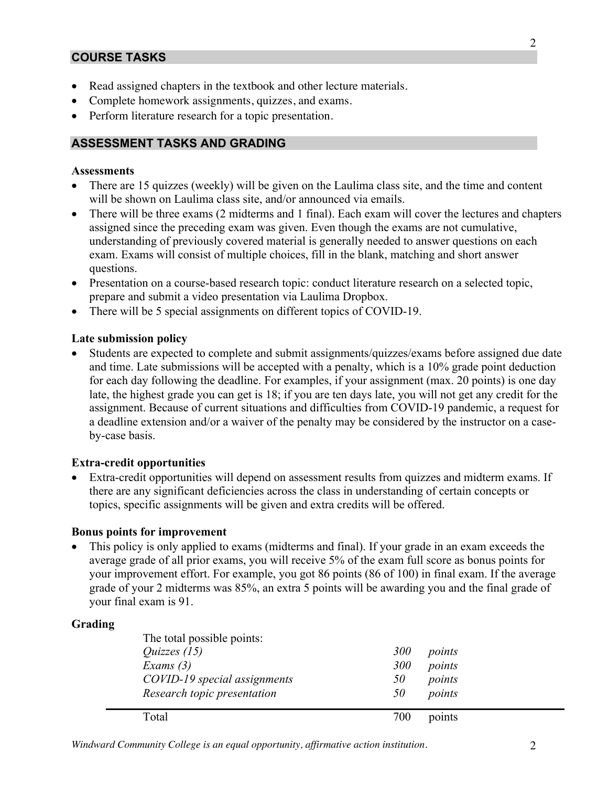### **COURSE TASKS**

- Read assigned chapters in the textbook and other lecture materials.
- Complete homework assignments, quizzes, and exams.
- Perform literature research for a topic presentation.

### **ASSESSMENT TASKS AND GRADING**

#### **Assessments**

- There are 15 quizzes (weekly) will be given on the Laulima class site, and the time and content will be shown on Laulima class site, and/or announced via emails.
- There will be three exams (2 midterms and 1 final). Each exam will cover the lectures and chapters assigned since the preceding exam was given. Even though the exams are not cumulative, understanding of previously covered material is generally needed to answer questions on each exam. Exams will consist of multiple choices, fill in the blank, matching and short answer questions.
- Presentation on a course-based research topic: conduct literature research on a selected topic, prepare and submit a video presentation via Laulima Dropbox.
- There will be 5 special assignments on different topics of COVID-19.

#### **Late submission policy**

• Students are expected to complete and submit assignments/quizzes/exams before assigned due date and time. Late submissions will be accepted with a penalty, which is a 10% grade point deduction for each day following the deadline. For examples, if your assignment (max. 20 points) is one day late, the highest grade you can get is 18; if you are ten days late, you will not get any credit for the assignment. Because of current situations and difficulties from COVID-19 pandemic, a request for a deadline extension and/or a waiver of the penalty may be considered by the instructor on a caseby-case basis.

#### **Extra-credit opportunities**

• Extra-credit opportunities will depend on assessment results from quizzes and midterm exams. If there are any significant deficiencies across the class in understanding of certain concepts or topics, specific assignments will be given and extra credits will be offered.

#### **Bonus points for improvement**

• This policy is only applied to exams (midterms and final). If your grade in an exam exceeds the average grade of all prior exams, you will receive 5% of the exam full score as bonus points for your improvement effort. For example, you got 86 points (86 of 100) in final exam. If the average grade of your 2 midterms was 85%, an extra 5 points will be awarding you and the final grade of your final exam is 91.

#### **Grading**

| The total possible points:<br><i>Ouizzes</i> $(15)$<br>Exams $(3)$<br>COVID-19 special assignments<br>Research topic presentation | <i>300</i><br>points<br><i>300</i><br>points<br>points<br>50<br>points<br>50 |
|-----------------------------------------------------------------------------------------------------------------------------------|------------------------------------------------------------------------------|
| Total                                                                                                                             | 700<br>points                                                                |

2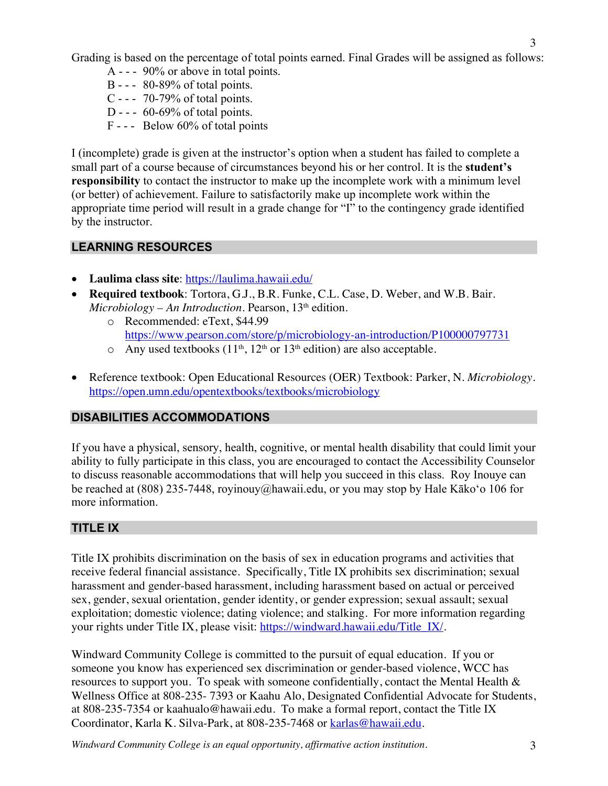Grading is based on the percentage of total points earned. Final Grades will be assigned as follows:

- A - 90% or above in total points.
- B - 80-89% of total points.
- C - 70-79% of total points.
- D -  $60-69%$  of total points.
- F - Below 60% of total points

I (incomplete) grade is given at the instructor's option when a student has failed to complete a small part of a course because of circumstances beyond his or her control. It is the **student's responsibility** to contact the instructor to make up the incomplete work with a minimum level (or better) of achievement. Failure to satisfactorily make up incomplete work within the appropriate time period will result in a grade change for "I" to the contingency grade identified by the instructor.

### **LEARNING RESOURCES**

- **Laulima class site**: https://laulima.hawaii.edu/
- **Required textbook**: Tortora, G.J., B.R. Funke, C.L. Case, D. Weber, and W.B. Bair. *Microbiology – An Introduction.* Pearson, 13<sup>th</sup> edition.
	- o Recommended: eText, \$44.99 https://www.pearson.com/store/p/microbiology-an-introduction/P100000797731
	- $\circ$  Any used textbooks (11<sup>th</sup>, 12<sup>th</sup> or 13<sup>th</sup> edition) are also acceptable.
- Reference textbook: Open Educational Resources (OER) Textbook: Parker, N. *Microbiology*. https://open.umn.edu/opentextbooks/textbooks/microbiology

# **DISABILITIES ACCOMMODATIONS**

If you have a physical, sensory, health, cognitive, or mental health disability that could limit your ability to fully participate in this class, you are encouraged to contact the Accessibility Counselor to discuss reasonable accommodations that will help you succeed in this class. Roy Inouye can be reached at (808) 235-7448, royinouy@hawaii.edu, or you may stop by Hale Kāko'o 106 for more information.

# **TITLE IX**

Title IX prohibits discrimination on the basis of sex in education programs and activities that receive federal financial assistance. Specifically, Title IX prohibits sex discrimination; sexual harassment and gender-based harassment, including harassment based on actual or perceived sex, gender, sexual orientation, gender identity, or gender expression; sexual assault; sexual exploitation; domestic violence; dating violence; and stalking. For more information regarding your rights under Title IX, please visit: https://windward.hawaii.edu/Title IX/.

Windward Community College is committed to the pursuit of equal education. If you or someone you know has experienced sex discrimination or gender-based violence, WCC has resources to support you. To speak with someone confidentially, contact the Mental Health & Wellness Office at 808-235- 7393 or Kaahu Alo, Designated Confidential Advocate for Students, at 808-235-7354 or kaahualo@hawaii.edu. To make a formal report, contact the Title IX Coordinator, Karla K. Silva-Park, at 808-235-7468 or karlas@hawaii.edu.

*Windward Community College is an equal opportunity, affirmative action institution.* 3